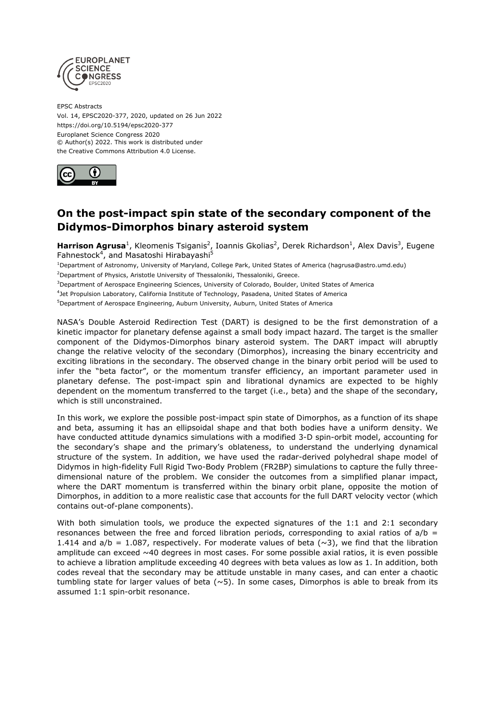

EPSC Abstracts Vol. 14, EPSC2020-377, 2020, updated on 26 Jun 2022 https://doi.org/10.5194/epsc2020-377 Europlanet Science Congress 2020 © Author(s) 2022. This work is distributed under the Creative Commons Attribution 4.0 License.



## **On the post-impact spin state of the secondary component of the Didymos-Dimorphos binary asteroid system**

Harrison Agrusa<sup>1</sup>, Kleomenis Tsiganis<sup>2</sup>, Ioannis Gkolias<sup>2</sup>, Derek Richardson<sup>1</sup>, Alex Davis<sup>3</sup>, Eugene Fahnestock<sup>4</sup>, and Masatoshi Hirabayashi<sup>5</sup>

<sup>1</sup>Department of Astronomy, University of Maryland, College Park, United States of America (hagrusa@astro.umd.edu)

<sup>2</sup>Department of Physics, Aristotle University of Thessaloniki, Thessaloniki, Greece.

<sup>3</sup>Department of Aerospace Engineering Sciences, University of Colorado, Boulder, United States of America

4 Jet Propulsion Laboratory, California Institute of Technology, Pasadena, United States of America

<sup>5</sup>Department of Aerospace Engineering, Auburn University, Auburn, United States of America

NASA's Double Asteroid Redirection Test (DART) is designed to be the first demonstration of a kinetic impactor for planetary defense against a small body impact hazard. The target is the smaller component of the Didymos-Dimorphos binary asteroid system. The DART impact will abruptly change the relative velocity of the secondary (Dimorphos), increasing the binary eccentricity and exciting librations in the secondary. The observed change in the binary orbit period will be used to infer the "beta factor", or the momentum transfer efficiency, an important parameter used in planetary defense. The post-impact spin and librational dynamics are expected to be highly dependent on the momentum transferred to the target (i.e., beta) and the shape of the secondary, which is still unconstrained.

In this work, we explore the possible post-impact spin state of Dimorphos, as a function of its shape and beta, assuming it has an ellipsoidal shape and that both bodies have a uniform density. We have conducted attitude dynamics simulations with a modified 3-D spin-orbit model, accounting for the secondary's shape and the primary's oblateness, to understand the underlying dynamical structure of the system. In addition, we have used the radar-derived polyhedral shape model of Didymos in high-fidelity Full Rigid Two-Body Problem (FR2BP) simulations to capture the fully threedimensional nature of the problem. We consider the outcomes from a simplified planar impact, where the DART momentum is transferred within the binary orbit plane, opposite the motion of Dimorphos, in addition to a more realistic case that accounts for the full DART velocity vector (which contains out-of-plane components).

With both simulation tools, we produce the expected signatures of the 1:1 and 2:1 secondary resonances between the free and forced libration periods, corresponding to axial ratios of  $a/b =$ 1.414 and  $a/b = 1.087$ , respectively. For moderate values of beta ( $\sim$ 3), we find that the libration amplitude can exceed ~40 degrees in most cases. For some possible axial ratios, it is even possible to achieve a libration amplitude exceeding 40 degrees with beta values as low as 1. In addition, both codes reveal that the secondary may be attitude unstable in many cases, and can enter a chaotic tumbling state for larger values of beta  $(\sim 5)$ . In some cases, Dimorphos is able to break from its assumed 1:1 spin-orbit resonance.